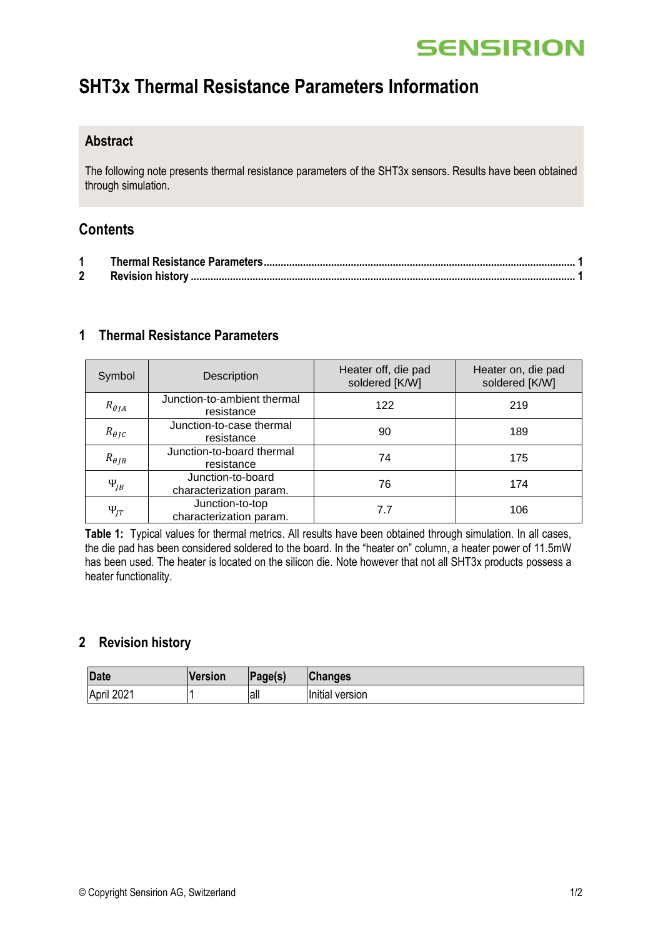# **SENSIRION**

## **SHT3x Thermal Resistance Parameters Information**

### **Abstract**

The following note presents thermal resistance parameters of the SHT3x sensors. Results have been obtained through simulation.

### **Contents**

### <span id="page-0-0"></span>**1 Thermal Resistance Parameters**

| Symbol                     | Description                                  | Heater off, die pad<br>soldered [K/W] | Heater on, die pad<br>soldered [K/W] |
|----------------------------|----------------------------------------------|---------------------------------------|--------------------------------------|
| $R_{\theta I A}$           | Junction-to-ambient thermal<br>resistance    | 122                                   | 219                                  |
| $R_{\theta I C}$           | Junction-to-case thermal<br>resistance       | 90                                    | 189                                  |
| $R_{\theta}$ <sub>IB</sub> | Junction-to-board thermal<br>resistance      | 74                                    | 175                                  |
| $\Psi_{IB}$                | Junction-to-board<br>characterization param. | 76                                    | 174                                  |
| $\Psi_{IT}$                | Junction-to-top<br>characterization param.   | 7.7                                   | 106                                  |

**Table 1:** Typical values for thermal metrics. All results have been obtained through simulation. In all cases, the die pad has been considered soldered to the board. In the "heater on" column, a heater power of 11.5mW has been used. The heater is located on the silicon die. Note however that not all SHT3x products possess a heater functionality.

### <span id="page-0-1"></span>**2 Revision history**

| <b>Date</b> | <b>Version</b> | $\vert$ Page(s) | <b>Changes</b>  |
|-------------|----------------|-----------------|-----------------|
| April 2021  |                | all             | Initial version |